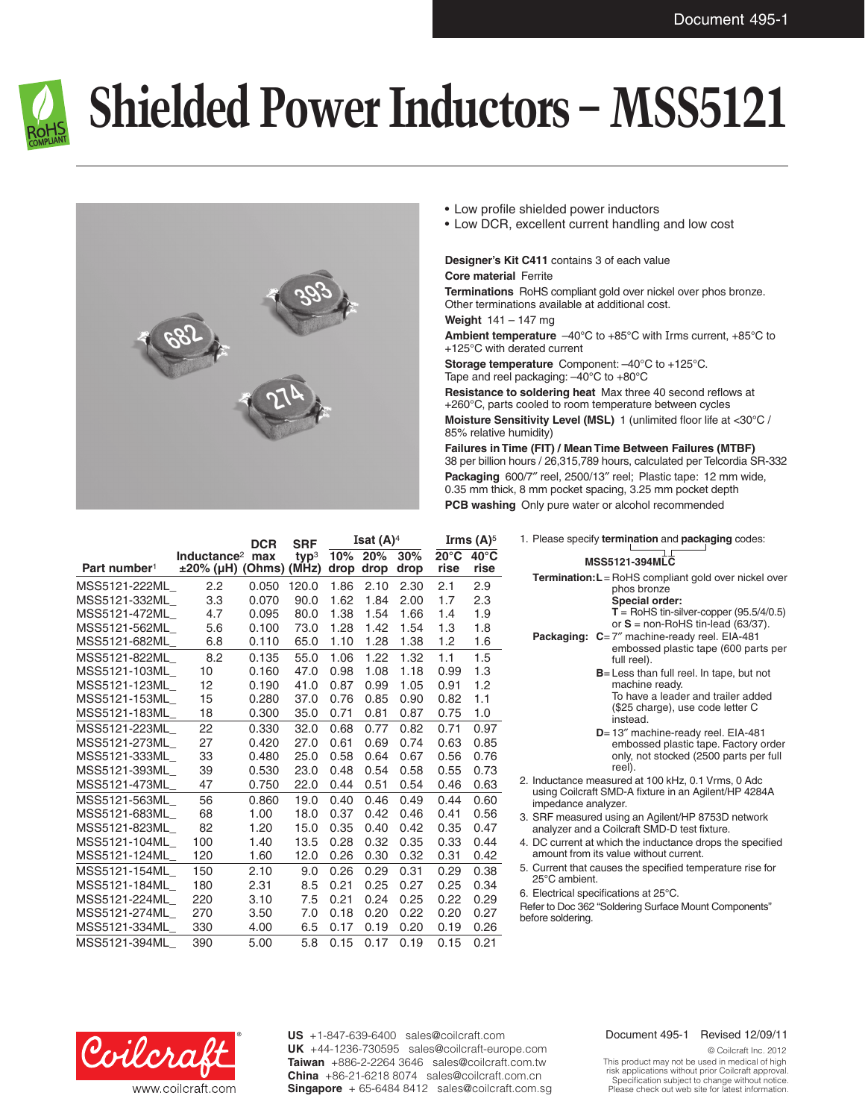

## **Shielded Power Inductors – MSS5121**



- • Low profile shielded power inductors
- Low DCR, excellent current handling and low cost

## **Designer's Kit C411** contains 3 of each value **Core material** Ferrite

**Terminations** RoHS compliant gold over nickel over phos bronze. Other terminations available at additional cost.

**Weight** 141 – 147 mg

**Ambient temperature** –40°C to +85°C with Irms current, +85°C to +125°C with derated current

**Storage temperature** Component: –40°C to +125°C. Tape and reel packaging: –40°C to +80°C

**Resistance to soldering heat** Max three 40 second reflows at +260°C, parts cooled to room temperature between cycles **Moisture Sensitivity Level (MSL)** 1 (unlimited floor life at <30°C / 85% relative humidity)

**Failures in Time (FIT) / Mean Time Between Failures (MTBF)** 38 per billion hours / 26,315,789 hours, calculated per Telcordia SR-332 **Packaging** 600/7″ reel, 2500/13″ reel; Plastic tape: 12 mm wide, 0.35 mm thick, 8 mm pocket spacing, 3.25 mm pocket depth **PCB washing** Only pure water or alcohol recommended

|                          |                              | <b>DCR</b> | <b>SRF</b>       | Isat $(A)^4$ |      |      | Irms $(A)^5$   |                |
|--------------------------|------------------------------|------------|------------------|--------------|------|------|----------------|----------------|
|                          | Inductance <sup>2</sup>      | max        | typ <sup>3</sup> | 10%          | 20%  | 30%  | $20^{\circ}$ C | $40^{\circ}$ C |
| Part number <sup>1</sup> | $\pm 20\%$ (µH) (Ohms) (MHz) |            |                  | drop         | drop | drop | rise           | rise           |
| MSS5121-222ML            | 2.2                          | 0.050      | 120.0            | 1.86         | 2.10 | 2.30 | 2.1            | 2.9            |
| MSS5121-332ML            | 3.3                          | 0.070      | 90.0             | 1.62         | 1.84 | 2.00 | 1.7            | 2.3            |
| MSS5121-472ML            | 4.7                          | 0.095      | 80.0             | 1.38         | 1.54 | 1.66 | 1.4            | 1.9            |
| MSS5121-562ML            | 5.6                          | 0.100      | 73.0             | 1.28         | 1.42 | 1.54 | 1.3            | 1.8            |
| MSS5121-682ML            | 6.8                          | 0.110      | 65.0             | 1.10         | 1.28 | 1.38 | 1.2            | 1.6            |
| MSS5121-822ML            | 8.2                          | 0.135      | 55.0             | 1.06         | 1.22 | 1.32 | 1.1            | 1.5            |
| MSS5121-103ML            | 10                           | 0.160      | 47.0             | 0.98         | 1.08 | 1.18 | 0.99           | 1.3            |
| MSS5121-123ML            | 12                           | 0.190      | 41.0             | 0.87         | 0.99 | 1.05 | 0.91           | 1.2            |
| MSS5121-153ML            | 15                           | 0.280      | 37.0             | 0.76         | 0.85 | 0.90 | 0.82           | 1.1            |
| MSS5121-183ML            | 18                           | 0.300      | 35.0             | 0.71         | 0.81 | 0.87 | 0.75           | 1.0            |
| MSS5121-223ML            | 22                           | 0.330      | 32.0             | 0.68         | 0.77 | 0.82 | 0.71           | 0.97           |
| MSS5121-273ML            | 27                           | 0.420      | 27.0             | 0.61         | 0.69 | 0.74 | 0.63           | 0.85           |
| MSS5121-333ML            | 33                           | 0.480      | 25.0             | 0.58         | 0.64 | 0.67 | 0.56           | 0.76           |
| MSS5121-393ML            | 39                           | 0.530      | 23.0             | 0.48         | 0.54 | 0.58 | 0.55           | 0.73           |
| MSS5121-473ML            | 47                           | 0.750      | 22.0             | 0.44         | 0.51 | 0.54 | 0.46           | 0.63           |
| MSS5121-563ML            | 56                           | 0.860      | 19.0             | 0.40         | 0.46 | 0.49 | 0.44           | 0.60           |
| MSS5121-683ML            | 68                           | 1.00       | 18.0             | 0.37         | 0.42 | 0.46 | 0.41           | 0.56           |
| MSS5121-823ML            | 82                           | 1.20       | 15.0             | 0.35         | 0.40 | 0.42 | 0.35           | 0.47           |
| MSS5121-104ML            | 100                          | 1.40       | 13.5             | 0.28         | 0.32 | 0.35 | 0.33           | 0.44           |
| MSS5121-124ML            | 120                          | 1.60       | 12.0             | 0.26         | 0.30 | 0.32 | 0.31           | 0.42           |
| MSS5121-154ML            | 150                          | 2.10       | 9.0              | 0.26         | 0.29 | 0.31 | 0.29           | 0.38           |
| MSS5121-184ML            | 180                          | 2.31       | 8.5              | 0.21         | 0.25 | 0.27 | 0.25           | 0.34           |
| MSS5121-224ML            | 220                          | 3.10       | 7.5              | 0.21         | 0.24 | 0.25 | 0.22           | 0.29           |
| MSS5121-274ML            | 270                          | 3.50       | 7.0              | 0.18         | 0.20 | 0.22 | 0.20           | 0.27           |
| MSS5121-334ML            | 330                          | 4.00       | 6.5              | 0.17         | 0.19 | 0.20 | 0.19           | 0.26           |
| MSS5121-394ML            | 390                          | 5.00       | 5.8              | 0.15         | 0.17 | 0.19 | 0.15           | 0.21           |

| 1. Please specify termination and packaging codes:                                                                                |  |  |  |  |  |  |  |  |
|-----------------------------------------------------------------------------------------------------------------------------------|--|--|--|--|--|--|--|--|
|                                                                                                                                   |  |  |  |  |  |  |  |  |
| <b>MSS5121-394MLC</b>                                                                                                             |  |  |  |  |  |  |  |  |
| <b>Termination: L</b> = RoHS compliant gold over nickel over<br>phos bronze<br>Special order:                                     |  |  |  |  |  |  |  |  |
| $T =$ RoHS tin-silver-copper (95.5/4/0.5)<br>or $S =$ non-RoHS tin-lead (63/37).                                                  |  |  |  |  |  |  |  |  |
| Packaging: C=7" machine-ready reel. EIA-481<br>embossed plastic tape (600 parts per<br>full reel).                                |  |  |  |  |  |  |  |  |
| $B =$ Less than full reel. In tape, but not<br>machine ready.                                                                     |  |  |  |  |  |  |  |  |
| To have a leader and trailer added<br>(\$25 charge), use code letter C<br>instead.                                                |  |  |  |  |  |  |  |  |
| D=13" machine-ready reel. EIA-481<br>embossed plastic tape. Factory order<br>only, not stocked (2500 parts per full<br>reel).     |  |  |  |  |  |  |  |  |
| 2. Inductance measured at 100 kHz, 0.1 Vrms, 0 Adc<br>using Coilcraft SMD-A fixture in an Agilent/HP 4284A<br>impedance analyzer. |  |  |  |  |  |  |  |  |
| 3. SRF measured using an Agilent/HP 8753D network<br>analyzer and a Coilcraft SMD-D test fixture.                                 |  |  |  |  |  |  |  |  |
| 4. DC current at which the inductance drops the specified<br>amount from its value without current.                               |  |  |  |  |  |  |  |  |
| 5. Current that causes the specified temperature rise for<br>25°C ambient.                                                        |  |  |  |  |  |  |  |  |
| 6. Electrical specifications at 25°C.                                                                                             |  |  |  |  |  |  |  |  |

Refer to Doc 362 "Soldering Surface Mount Components" before soldering.



**US** +1-847-639-6400 sales@coilcraft.com **UK** +44-1236-730595 sales@coilcraft-europe.com **Taiwan** +886-2-2264 3646 sales@coilcraft.com.tw **China** +86-21-6218 8074 sales@coilcraft.com.cn **Singapore** + 65-6484 8412 sales@coilcraft.com.sg

## Document 495-1 Revised 12/09/11

© Coilcraft Inc. 2012 This product may not be used in medical of high risk applications without prior Coilcraft approval. Specification subject to change without notice. Please check out web site for latest information.